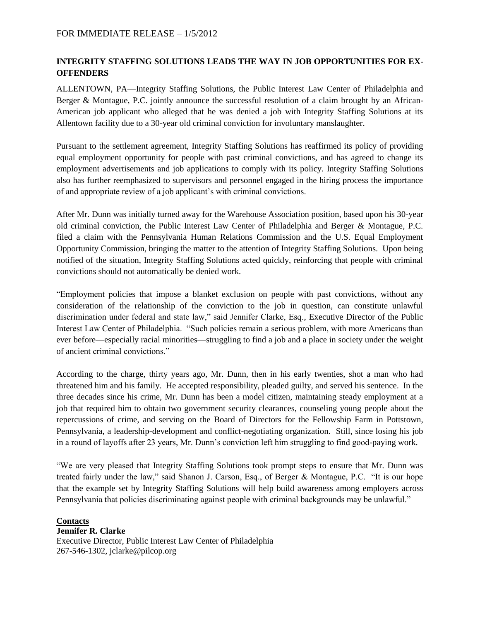## **INTEGRITY STAFFING SOLUTIONS LEADS THE WAY IN JOB OPPORTUNITIES FOR EX-OFFENDERS**

ALLENTOWN, PA—Integrity Staffing Solutions, the Public Interest Law Center of Philadelphia and Berger & Montague, P.C. jointly announce the successful resolution of a claim brought by an African-American job applicant who alleged that he was denied a job with Integrity Staffing Solutions at its Allentown facility due to a 30-year old criminal conviction for involuntary manslaughter.

Pursuant to the settlement agreement, Integrity Staffing Solutions has reaffirmed its policy of providing equal employment opportunity for people with past criminal convictions, and has agreed to change its employment advertisements and job applications to comply with its policy. Integrity Staffing Solutions also has further reemphasized to supervisors and personnel engaged in the hiring process the importance of and appropriate review of a job applicant's with criminal convictions.

After Mr. Dunn was initially turned away for the Warehouse Association position, based upon his 30-year old criminal conviction, the Public Interest Law Center of Philadelphia and Berger & Montague, P.C. filed a claim with the Pennsylvania Human Relations Commission and the U.S. Equal Employment Opportunity Commission, bringing the matter to the attention of Integrity Staffing Solutions. Upon being notified of the situation, Integrity Staffing Solutions acted quickly, reinforcing that people with criminal convictions should not automatically be denied work.

"Employment policies that impose a blanket exclusion on people with past convictions, without any consideration of the relationship of the conviction to the job in question, can constitute unlawful discrimination under federal and state law," said Jennifer Clarke, Esq., Executive Director of the Public Interest Law Center of Philadelphia. "Such policies remain a serious problem, with more Americans than ever before—especially racial minorities—struggling to find a job and a place in society under the weight of ancient criminal convictions."

According to the charge, thirty years ago, Mr. Dunn, then in his early twenties, shot a man who had threatened him and his family. He accepted responsibility, pleaded guilty, and served his sentence. In the three decades since his crime, Mr. Dunn has been a model citizen, maintaining steady employment at a job that required him to obtain two government security clearances, counseling young people about the repercussions of crime, and serving on the Board of Directors for the Fellowship Farm in Pottstown, Pennsylvania, a leadership-development and conflict-negotiating organization. Still, since losing his job in a round of layoffs after 23 years, Mr. Dunn's conviction left him struggling to find good-paying work.

"We are very pleased that Integrity Staffing Solutions took prompt steps to ensure that Mr. Dunn was treated fairly under the law," said Shanon J. Carson, Esq., of Berger & Montague, P.C. "It is our hope that the example set by Integrity Staffing Solutions will help build awareness among employers across Pennsylvania that policies discriminating against people with criminal backgrounds may be unlawful."

**Contacts Jennifer R. Clarke** Executive Director, Public Interest Law Center of Philadelphia 267-546-1302, jclarke@pilcop.org